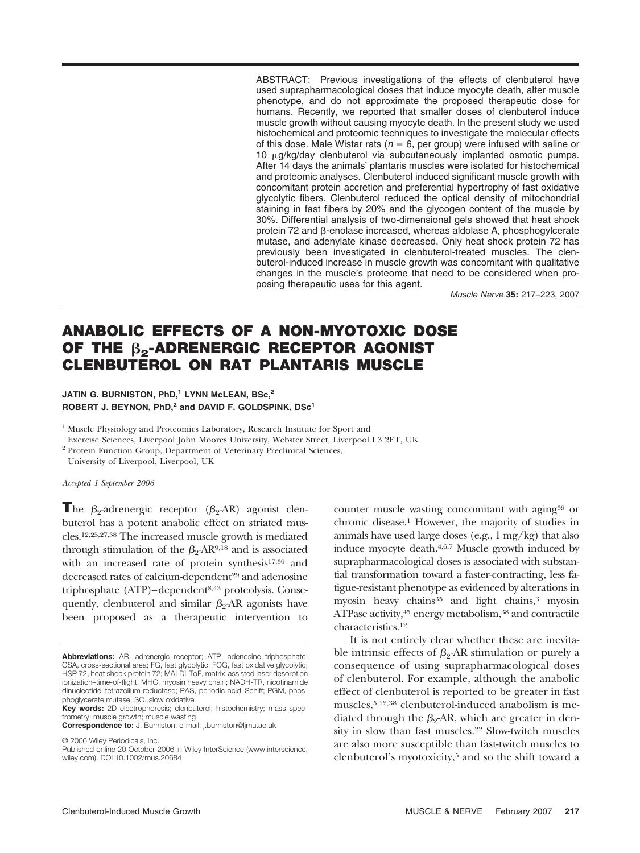ABSTRACT: Previous investigations of the effects of clenbuterol have used suprapharmacological doses that induce myocyte death, alter muscle phenotype, and do not approximate the proposed therapeutic dose for humans. Recently, we reported that smaller doses of clenbuterol induce muscle growth without causing myocyte death. In the present study we used histochemical and proteomic techniques to investigate the molecular effects of this dose. Male Wistar rats ( $n = 6$ , per group) were infused with saline or  $10 \mu g/kg/day$  clenbuterol via subcutaneously implanted osmotic pumps. After 14 days the animals' plantaris muscles were isolated for histochemical and proteomic analyses. Clenbuterol induced significant muscle growth with concomitant protein accretion and preferential hypertrophy of fast oxidative glycolytic fibers. Clenbuterol reduced the optical density of mitochondrial staining in fast fibers by 20% and the glycogen content of the muscle by 30%. Differential analysis of two-dimensional gels showed that heat shock protein 72 and B-enolase increased, whereas aldolase A, phosphogylcerate mutase, and adenylate kinase decreased. Only heat shock protein 72 has previously been investigated in clenbuterol-treated muscles. The clenbuterol-induced increase in muscle growth was concomitant with qualitative changes in the muscle's proteome that need to be considered when proposing therapeutic uses for this agent.

Muscle Nerve **35:** 217–223, 2007

# **ANABOLIC EFFECTS OF A NON-MYOTOXIC DOSE OF THE 2-ADRENERGIC RECEPTOR AGONIST CLENBUTEROL ON RAT PLANTARIS MUSCLE**

# JATIN G. BURNISTON, PhD,<sup>1</sup> LYNN McLEAN, BSc,<sup>2</sup> **ROBERT J. BEYNON, PhD,<sup>2</sup> and DAVID F. GOLDSPINK, DSc1**

<sup>1</sup> Muscle Physiology and Proteomics Laboratory, Research Institute for Sport and Exercise Sciences, Liverpool John Moores University, Webster Street, Liverpool L3 2ET, UK

<sup>2</sup> Protein Function Group, Department of Veterinary Preclinical Sciences,

University of Liverpool, Liverpool, UK

#### *Accepted 1 September 2006*

**The**  $\beta_2$ **-adrenergic receptor (** $\beta_2$ **-AR) agonist clen**buterol has a potent anabolic effect on striated muscles.12,25,27,38 The increased muscle growth is mediated through stimulation of the  $\beta_2$ -AR<sup>9,18</sup> and is associated with an increased rate of protein synthesis<sup>17,30</sup> and decreased rates of calcium-dependent<sup>29</sup> and adenosine triphosphate (ATP)–dependent<sup>8,43</sup> proteolysis. Consequently, clenbuterol and similar  $\beta_2$ -AR agonists have been proposed as a therapeutic intervention to

© 2006 Wiley Periodicals, Inc.

counter muscle wasting concomitant with aging39 or chronic disease.1 However, the majority of studies in animals have used large doses (e.g., 1 mg/kg) that also induce myocyte death.<sup>4,6,7</sup> Muscle growth induced by suprapharmacological doses is associated with substantial transformation toward a faster-contracting, less fatigue-resistant phenotype as evidenced by alterations in myosin heavy chains<sup>35</sup> and light chains,<sup>3</sup> myosin ATPase activity, 45 energy metabolism, 38 and contractile characteristics.12

It is not entirely clear whether these are inevitable intrinsic effects of  $\beta_2$ -AR stimulation or purely a consequence of using suprapharmacological doses of clenbuterol. For example, although the anabolic effect of clenbuterol is reported to be greater in fast muscles,5,12,38 clenbuterol-induced anabolism is mediated through the  $\beta_2$ -AR, which are greater in density in slow than fast muscles.22 Slow-twitch muscles are also more susceptible than fast-twitch muscles to clenbuterol's myotoxicity,5 and so the shift toward a

**Abbreviations:** AR, adrenergic receptor; ATP, adenosine triphosphate; CSA, cross-sectional area; FG, fast glycolytic; FOG, fast oxidative glycolytic; HSP 72, heat shock protein 72; MALDI-ToF, matrix-assisted laser desorption ionization–time-of-flight; MHC, myosin heavy chain; NADH-TR, nicotinamide dinucleotide–tetrazolium reductase; PAS, periodic acid–Schiff; PGM, phosphoglycerate mutase; SO, slow oxidative

**Key words:** 2D electrophoresis; clenbuterol; histochemistry; mass spectrometry; muscle growth; muscle wasting

**Correspondence to:** J. Burniston; e-mail: j.burniston@ljmu.ac.uk

Published online 20 October 2006 in Wiley InterScience (www.interscience. wiley.com). DOI 10.1002/mus.20684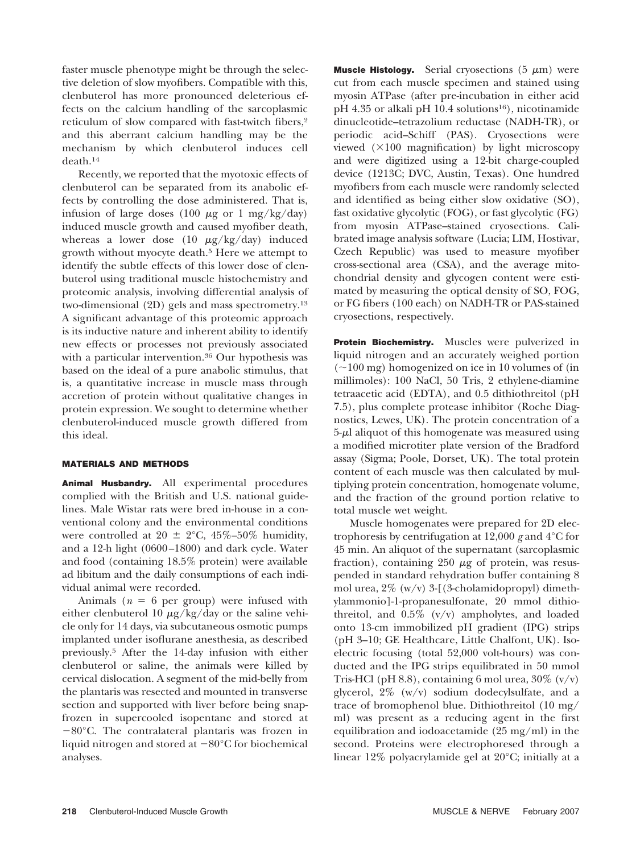faster muscle phenotype might be through the selective deletion of slow myofibers. Compatible with this, clenbuterol has more pronounced deleterious effects on the calcium handling of the sarcoplasmic reticulum of slow compared with fast-twitch fibers,<sup>2</sup> and this aberrant calcium handling may be the mechanism by which clenbuterol induces cell death.14

Recently, we reported that the myotoxic effects of clenbuterol can be separated from its anabolic effects by controlling the dose administered. That is, infusion of large doses  $(100 \ \mu g \text{ or } 1 \text{ mg/kg/day})$ induced muscle growth and caused myofiber death, whereas a lower dose (10  $\mu$ g/kg/day) induced growth without myocyte death.5 Here we attempt to identify the subtle effects of this lower dose of clenbuterol using traditional muscle histochemistry and proteomic analysis, involving differential analysis of two-dimensional (2D) gels and mass spectrometry.13 A significant advantage of this proteomic approach is its inductive nature and inherent ability to identify new effects or processes not previously associated with a particular intervention.36 Our hypothesis was based on the ideal of a pure anabolic stimulus, that is, a quantitative increase in muscle mass through accretion of protein without qualitative changes in protein expression. We sought to determine whether clenbuterol-induced muscle growth differed from this ideal.

## **MATERIALS AND METHODS**

**Animal Husbandry.** All experimental procedures complied with the British and U.S. national guidelines. Male Wistar rats were bred in-house in a conventional colony and the environmental conditions were controlled at 20  $\pm$  2°C, 45%–50% humidity, and a 12-h light (0600 –1800) and dark cycle. Water and food (containing 18.5% protein) were available ad libitum and the daily consumptions of each individual animal were recorded.

Animals ( $n = 6$  per group) were infused with either clenbuterol 10  $\mu$ g/kg/day or the saline vehicle only for 14 days, via subcutaneous osmotic pumps implanted under isoflurane anesthesia, as described previously.5 After the 14-day infusion with either clenbuterol or saline, the animals were killed by cervical dislocation. A segment of the mid-belly from the plantaris was resected and mounted in transverse section and supported with liver before being snapfrozen in supercooled isopentane and stored at  $-80^{\circ}$ C. The contralateral plantaris was frozen in liquid nitrogen and stored at  $-80^{\circ}$ C for biochemical analyses.

**Muscle Histology.** Serial cryosections (5 μm) were cut from each muscle specimen and stained using myosin ATPase (after pre-incubation in either acid pH 4.35 or alkali pH 10.4 solutions<sup>16</sup>), nicotinamide dinucleotide–tetrazolium reductase (NADH-TR), or periodic acid–Schiff (PAS). Cryosections were viewed  $(\times 100$  magnification) by light microscopy and were digitized using a 12-bit charge-coupled device (1213C; DVC, Austin, Texas). One hundred myofibers from each muscle were randomly selected and identified as being either slow oxidative (SO), fast oxidative glycolytic (FOG), or fast glycolytic (FG) from myosin ATPase–stained cryosections. Calibrated image analysis software (Lucia; LIM, Hostivar, Czech Republic) was used to measure myofiber cross-sectional area (CSA), and the average mitochondrial density and glycogen content were estimated by measuring the optical density of SO, FOG, or FG fibers (100 each) on NADH-TR or PAS-stained cryosections, respectively.

**Protein Biochemistry.** Muscles were pulverized in liquid nitrogen and an accurately weighed portion  $(\sim 100 \text{ mg})$  homogenized on ice in 10 volumes of (in millimoles): 100 NaCl, 50 Tris, 2 ethylene-diamine tetraacetic acid (EDTA), and 0.5 dithiothreitol (pH 7.5), plus complete protease inhibitor (Roche Diagnostics, Lewes, UK). The protein concentration of a 5-µl aliquot of this homogenate was measured using a modified microtiter plate version of the Bradford assay (Sigma; Poole, Dorset, UK). The total protein content of each muscle was then calculated by multiplying protein concentration, homogenate volume, and the fraction of the ground portion relative to total muscle wet weight.

Muscle homogenates were prepared for 2D electrophoresis by centrifugation at 12,000 *g* and 4°C for 45 min. An aliquot of the supernatant (sarcoplasmic fraction), containing  $250 \mu$ g of protein, was resuspended in standard rehydration buffer containing 8 mol urea,  $2\%$  (w/v) 3-[(3-cholamidopropyl) dimethylammonio]-1-propanesulfonate, 20 mmol dithiothreitol, and 0.5% (v/v) ampholytes, and loaded onto 13-cm immobilized pH gradient (IPG) strips (pH 3–10; GE Healthcare, Little Chalfont, UK). Isoelectric focusing (total 52,000 volt-hours) was conducted and the IPG strips equilibrated in 50 mmol Tris-HCl (pH 8.8), containing 6 mol urea,  $30\%$  (v/v) glycerol, 2% (w/v) sodium dodecylsulfate, and a trace of bromophenol blue. Dithiothreitol (10 mg/ ml) was present as a reducing agent in the first equilibration and iodoacetamide (25 mg/ml) in the second. Proteins were electrophoresed through a linear 12% polyacrylamide gel at 20°C; initially at a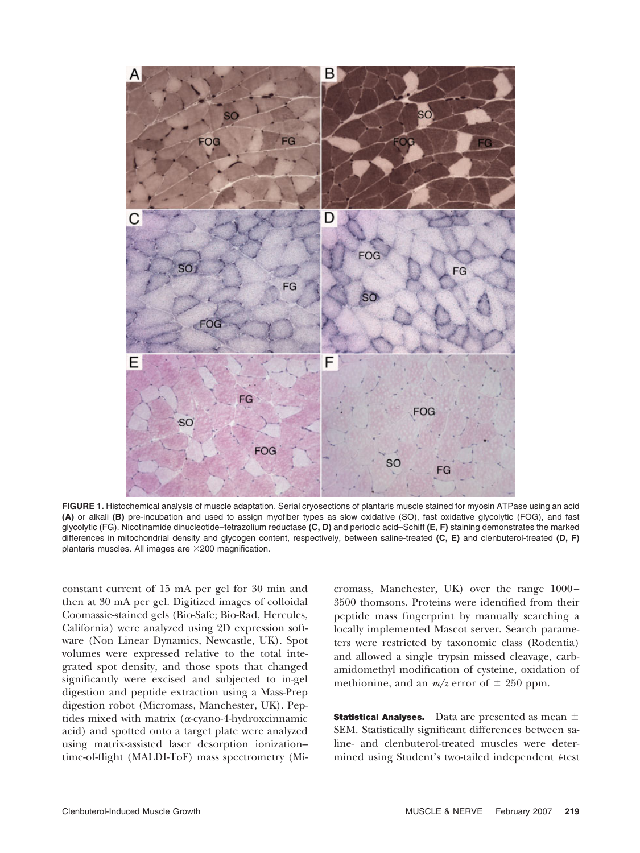

**FIGURE 1.** Histochemical analysis of muscle adaptation. Serial cryosections of plantaris muscle stained for myosin ATPase using an acid **(A)** or alkali **(B)** pre-incubation and used to assign myofiber types as slow oxidative (SO), fast oxidative glycolytic (FOG), and fast glycolytic (FG). Nicotinamide dinucleotide–tetrazolium reductase **(C, D)** and periodic acid–Schiff **(E, F)** staining demonstrates the marked differences in mitochondrial density and glycogen content, respectively, between saline-treated **(C, E)** and clenbuterol-treated **(D, F)** plantaris muscles. All images are  $\times$  200 magnification.

constant current of 15 mA per gel for 30 min and then at 30 mA per gel. Digitized images of colloidal Coomassie-stained gels (Bio-Safe; Bio-Rad, Hercules, California) were analyzed using 2D expression software (Non Linear Dynamics, Newcastle, UK). Spot volumes were expressed relative to the total integrated spot density, and those spots that changed significantly were excised and subjected to in-gel digestion and peptide extraction using a Mass-Prep digestion robot (Micromass, Manchester, UK). Peptides mixed with matrix ( $\alpha$ -cyano-4-hydroxcinnamic acid) and spotted onto a target plate were analyzed using matrix-assisted laser desorption ionization– time-of-flight (MALDI-ToF) mass spectrometry (Micromass, Manchester, UK) over the range 1000 – 3500 thomsons. Proteins were identified from their peptide mass fingerprint by manually searching a locally implemented Mascot server. Search parameters were restricted by taxonomic class (Rodentia) and allowed a single trypsin missed cleavage, carbamidomethyl modification of cysteine, oxidation of methionine, and an  $m/z$  error of  $\pm$  250 ppm.

**Statistical Analyses.** Data are presented as mean  $\pm$ SEM. Statistically significant differences between saline- and clenbuterol-treated muscles were determined using Student's two-tailed independent *t*-test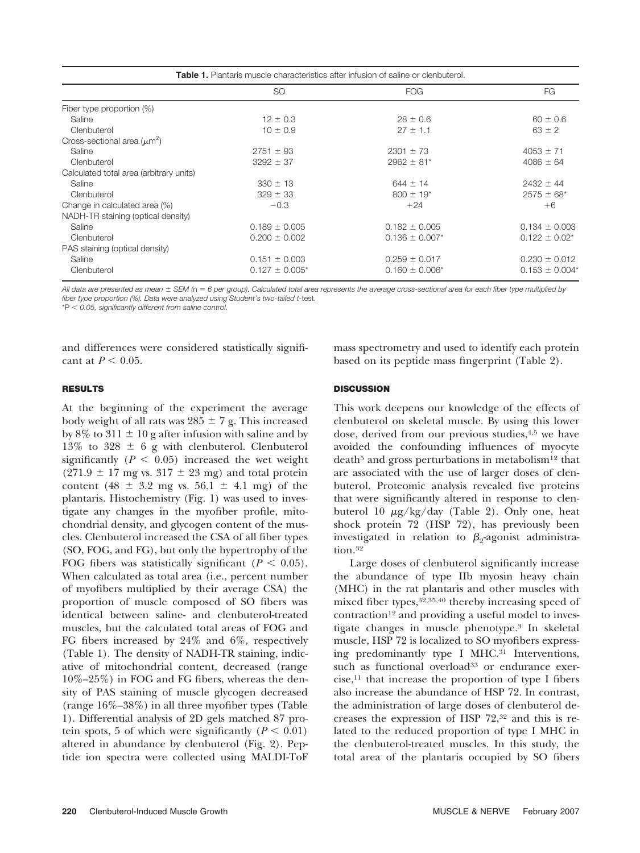| <b>Table 1.</b> Plantaris muscle characteristics after infusion of saline or clenbuterol. |                     |                            |                     |  |  |  |  |
|-------------------------------------------------------------------------------------------|---------------------|----------------------------|---------------------|--|--|--|--|
|                                                                                           | <b>SO</b>           | <b>FOG</b>                 | FG.                 |  |  |  |  |
| Fiber type proportion (%)                                                                 |                     |                            |                     |  |  |  |  |
| Saline                                                                                    | $12 \pm 0.3$        | $28 \pm 0.6$               | $60 \pm 0.6$        |  |  |  |  |
| Clenbuterol                                                                               | $10 \pm 0.9$        | $27 \pm 1.1$               | $63 \pm 2$          |  |  |  |  |
| Cross-sectional area $(\mu m^2)$                                                          |                     |                            |                     |  |  |  |  |
| Saline                                                                                    | $2751 \pm 93$       | $2301 \pm 73$              | $4053 \pm 71$       |  |  |  |  |
| Clenbuterol                                                                               | $3292 \pm 37$       | $2962 \pm 81$ <sup>*</sup> | $4086 \pm 64$       |  |  |  |  |
| Calculated total area (arbitrary units)                                                   |                     |                            |                     |  |  |  |  |
| Saline                                                                                    | $330 \pm 13$        | $644 \pm 14$               | $2432 \pm 44$       |  |  |  |  |
| Clenbuterol                                                                               | $329 \pm 33$        | $800 \pm 19$ <sup>*</sup>  | $2575 \pm 68^*$     |  |  |  |  |
| Change in calculated area (%)                                                             | $-0.3$              | $+24$                      | $+6$                |  |  |  |  |
| NADH-TR staining (optical density)                                                        |                     |                            |                     |  |  |  |  |
| Saline                                                                                    | $0.189 \pm 0.005$   | $0.182 \pm 0.005$          | $0.134 \pm 0.003$   |  |  |  |  |
| Clenbuterol                                                                               | $0.200 \pm 0.002$   | $0.136 \pm 0.007$ *        | $0.122 \pm 0.02^*$  |  |  |  |  |
| PAS staining (optical density)                                                            |                     |                            |                     |  |  |  |  |
| Saline                                                                                    | $0.151 \pm 0.003$   | $0.259 \pm 0.017$          | $0.230 \pm 0.012$   |  |  |  |  |
| Clenbuterol                                                                               | $0.127 \pm 0.005$ * | $0.160 \pm 0.006^*$        | $0.153 \pm 0.004^*$ |  |  |  |  |

*All data are presented as mean SEM (*n *6 per group). Calculated total area represents the average cross-sectional area for each fiber type multiplied by fiber type proportion (%). Data were analyzed using Student's two-tailed t*-test.

\*P *0.05, significantly different from saline control.*

and differences were considered statistically significant at  $P < 0.05$ .

### **RESULTS**

At the beginning of the experiment the average body weight of all rats was  $285 \pm 7$  g. This increased by 8% to 311  $\pm$  10 g after infusion with saline and by 13% to 328  $\pm$  6 g with clenbuterol. Clenbuterol significantly  $(P < 0.05)$  increased the wet weight  $(271.9 \pm 17 \text{ mg vs. } 317 \pm 23 \text{ mg})$  and total protein content (48  $\pm$  3.2 mg vs. 56.1  $\pm$  4.1 mg) of the plantaris. Histochemistry (Fig. 1) was used to investigate any changes in the myofiber profile, mitochondrial density, and glycogen content of the muscles. Clenbuterol increased the CSA of all fiber types (SO, FOG, and FG), but only the hypertrophy of the FOG fibers was statistically significant  $(P < 0.05)$ . When calculated as total area (i.e., percent number of myofibers multiplied by their average CSA) the proportion of muscle composed of SO fibers was identical between saline- and clenbuterol-treated muscles, but the calculated total areas of FOG and FG fibers increased by 24% and 6%, respectively (Table 1). The density of NADH-TR staining, indicative of mitochondrial content, decreased (range 10%–25%) in FOG and FG fibers, whereas the density of PAS staining of muscle glycogen decreased (range 16%–38%) in all three myofiber types (Table 1). Differential analysis of 2D gels matched 87 protein spots, 5 of which were significantly  $(P < 0.01)$ altered in abundance by clenbuterol (Fig. 2). Peptide ion spectra were collected using MALDI-ToF

mass spectrometry and used to identify each protein based on its peptide mass fingerprint (Table 2).

## **DISCUSSION**

This work deepens our knowledge of the effects of clenbuterol on skeletal muscle. By using this lower dose, derived from our previous studies,4,5 we have avoided the confounding influences of myocyte death<sup>5</sup> and gross perturbations in metabolism<sup>12</sup> that are associated with the use of larger doses of clenbuterol. Proteomic analysis revealed five proteins that were significantly altered in response to clenbuterol 10  $\mu$ g/kg/day (Table 2). Only one, heat shock protein 72 (HSP 72), has previously been investigated in relation to  $\beta_2$ -agonist administration.32

Large doses of clenbuterol significantly increase the abundance of type IIb myosin heavy chain (MHC) in the rat plantaris and other muscles with mixed fiber types,32,35,40 thereby increasing speed of  $contraction<sup>12</sup>$  and providing a useful model to investigate changes in muscle phenotype.3 In skeletal muscle, HSP 72 is localized to SO myofibers expressing predominantly type I MHC.31 Interventions, such as functional overload<sup>33</sup> or endurance exer $cise,$ <sup>11</sup> that increase the proportion of type I fibers also increase the abundance of HSP 72. In contrast, the administration of large doses of clenbuterol decreases the expression of HSP 72,32 and this is related to the reduced proportion of type I MHC in the clenbuterol-treated muscles. In this study, the total area of the plantaris occupied by SO fibers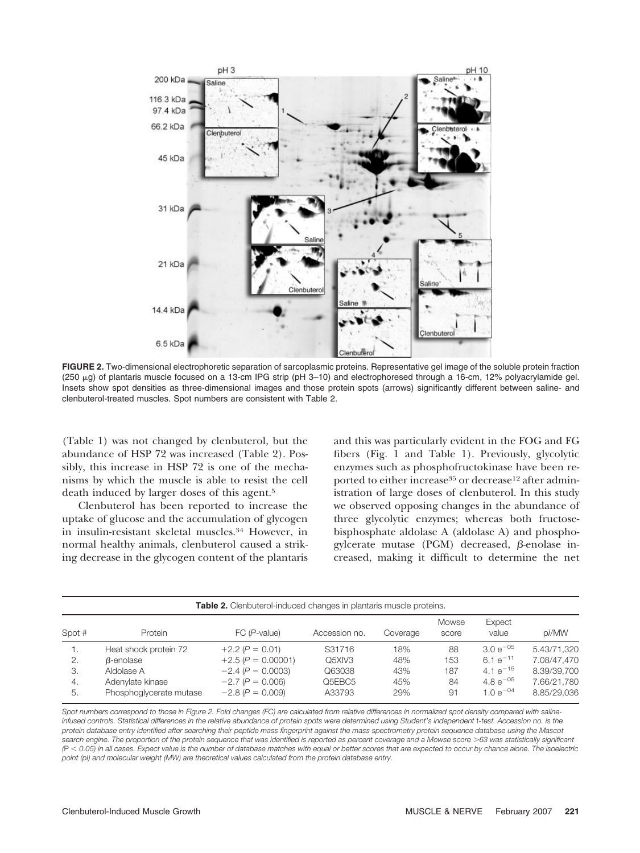

**FIGURE 2.** Two-dimensional electrophoretic separation of sarcoplasmic proteins. Representative gel image of the soluble protein fraction (250 µg) of plantaris muscle focused on a 13-cm IPG strip (pH 3–10) and electrophoresed through a 16-cm, 12% polyacrylamide gel. Insets show spot densities as three-dimensional images and those protein spots (arrows) significantly different between saline- and clenbuterol-treated muscles. Spot numbers are consistent with Table 2.

(Table 1) was not changed by clenbuterol, but the abundance of HSP 72 was increased (Table 2). Possibly, this increase in HSP 72 is one of the mechanisms by which the muscle is able to resist the cell death induced by larger doses of this agent.5

Clenbuterol has been reported to increase the uptake of glucose and the accumulation of glycogen in insulin-resistant skeletal muscles.34 However, in normal healthy animals, clenbuterol caused a striking decrease in the glycogen content of the plantaris and this was particularly evident in the FOG and FG fibers (Fig. 1 and Table 1). Previously, glycolytic enzymes such as phosphofructokinase have been reported to either increase<sup>35</sup> or decrease<sup>12</sup> after administration of large doses of clenbuterol. In this study we observed opposing changes in the abundance of three glycolytic enzymes; whereas both fructosebisphosphate aldolase A (aldolase A) and phosphogylcerate mutase (PGM) decreased,  $\beta$ -enolase increased, making it difficult to determine the net

| Table 2. Clenbuterol-induced changes in plantaris muscle proteins. |                         |                      |               |          |                |                 |             |  |  |
|--------------------------------------------------------------------|-------------------------|----------------------|---------------|----------|----------------|-----------------|-------------|--|--|
| Spot #                                                             | Protein                 | $FC(P-value)$        | Accession no. | Coverage | Mowse<br>score | Expect<br>value | p//MW       |  |  |
|                                                                    | Heat shock protein 72   | $+2.2 (P = 0.01)$    | S31716        | 18%      | 88             | $3.0 e^{-05}$   | 5.43/71.320 |  |  |
| 2.                                                                 | B-enolase               | $+2.5 (P = 0.00001)$ | Q5XIV3        | 48%      | 153            | $6.1 e^{-11}$   | 7.08/47.470 |  |  |
| 3.                                                                 | Aldolase A              | $-2.4 (P = 0.0003)$  | Q63038        | 43%      | 187            | 4.1 $e^{-15}$   | 8.39/39.700 |  |  |
| $\overline{4}$ .                                                   | Adenylate kinase        | $-2.7 (P = 0.006)$   | Q5EBC5        | 45%      | 84             | 4.8 $e^{-05}$   | 7.66/21.780 |  |  |
| 5.                                                                 | Phosphoglycerate mutase | $-2.8 (P = 0.009)$   | A33793        | 29%      | 91             | $1.0e^{-04}$    | 8.85/29.036 |  |  |

*Spot numbers correspond to those in Figure 2. Fold changes (FC) are calculated from relative differences in normalized spot density compared with salineinfused controls. Statistical differences in the relative abundance of protein spots were determined using Student's independent* t*-test. Accession no. is the protein database entry identified after searching their peptide mass fingerprint against the mass spectrometry protein sequence database using the Mascot search engine. The proportion of the protein sequence that was identified is reported as percent coverage and a Mowse score 63 was statistically significant (*P *0.05) in all cases. Expect value is the number of database matches with equal or better scores that are expected to occur by chance alone. The isoelectric point (pI) and molecular weight (MW) are theoretical values calculated from the protein database entry.*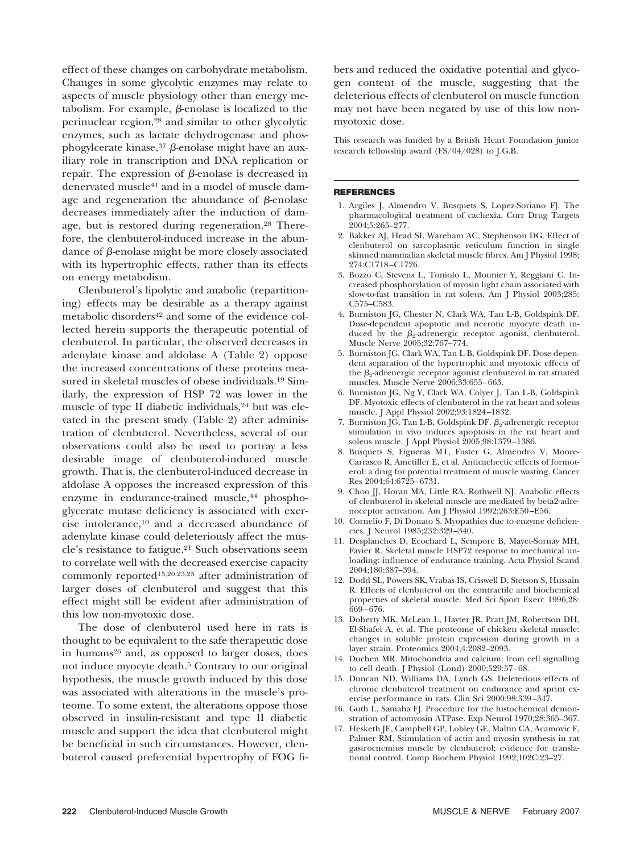effect of these changes on carbohydrate metabolism. Changes in some glycolytic enzymes may relate to aspects of muscle physiology other than energy metabolism. For example,  $\beta$ -enolase is localized to the perinuclear region,28 and similar to other glycolytic enzymes, such as lactate dehydrogenase and phosphogylcerate kinase, $37$   $\beta$ -enolase might have an auxiliary role in transcription and DNA replication or repair. The expression of  $\beta$ -enolase is decreased in denervated muscle41 and in a model of muscle damage and regeneration the abundance of  $\beta$ -enolase decreases immediately after the induction of damage, but is restored during regeneration.28 Therefore, the clenbuterol-induced increase in the abundance of  $\beta$ -enolase might be more closely associated with its hypertrophic effects, rather than its effects on energy metabolism.

Clenbuterol's lipolytic and anabolic (repartitioning) effects may be desirable as a therapy against metabolic disorders<sup>42</sup> and some of the evidence collected herein supports the therapeutic potential of clenbuterol. In particular, the observed decreases in adenylate kinase and aldolase A (Table 2) oppose the increased concentrations of these proteins measured in skeletal muscles of obese individuals.19 Similarly, the expression of HSP 72 was lower in the muscle of type II diabetic individuals,<sup>24</sup> but was elevated in the present study (Table 2) after administration of clenbuterol. Nevertheless, several of our observations could also be used to portray a less desirable image of clenbuterol-induced muscle growth. That is, the clenbuterol-induced decrease in aldolase A opposes the increased expression of this enzyme in endurance-trained muscle,<sup>44</sup> phosphoglycerate mutase deficiency is associated with exercise intolerance,10 and a decreased abundance of adenylate kinase could deleteriously affect the muscle's resistance to fatigue.21 Such observations seem to correlate well with the decreased exercise capacity commonly reported15,20,23,25 after administration of larger doses of clenbuterol and suggest that this effect might still be evident after administration of this low non-myotoxic dose.

The dose of clenbuterol used here in rats is thought to be equivalent to the safe therapeutic dose in humans<sup>26</sup> and, as opposed to larger doses, does not induce myocyte death.5 Contrary to our original hypothesis, the muscle growth induced by this dose was associated with alterations in the muscle's proteome. To some extent, the alterations oppose those observed in insulin-resistant and type II diabetic muscle and support the idea that clenbuterol might be beneficial in such circumstances. However, clenbuterol caused preferential hypertrophy of FOG fibers and reduced the oxidative potential and glycogen content of the muscle, suggesting that the deleterious effects of clenbuterol on muscle function may not have been negated by use of this low nonmyotoxic dose.

This research was funded by a British Heart Foundation junior research fellowship award (FS/04/028) to J.G.B.

#### **REFERENCES**

- 1. Argiles J, Almendro V, Busquets S, Lopez-Soriano FJ. The pharmacological treatment of cachexia. Curr Drug Targets 2004;5:265–277.
- 2. Bakker AJ, Head SI, Wareham AC, Stephenson DG. Effect of clenbuterol on sarcoplasmic reticulum function in single skinned mammalian skeletal muscle fibres. Am J Physiol 1998; 274:C1718 –C1726.
- 3. Bozzo C, Stevens L, Toniolo L, Mounier Y, Reggiani C. Increased phosphorylation of myosin light chain associated with slow-to-fast transition in rat soleus. Am J Physiol 2003;285: C575–C583.
- 4. Burniston JG, Chester N, Clark WA, Tan L-B, Goldspink DF. Dose-dependent apoptotic and necrotic myocyte death induced by the  $\beta_2$ -adrenergic receptor agonist, clenbuterol. Muscle Nerve 2005;32:767–774.
- 5. Burniston JG, Clark WA, Tan L-B, Goldspink DF. Dose-dependent separation of the hypertrophic and myotoxic effects of the  $\beta_2$ -adrenergic receptor agonist clenbuterol in rat striated muscles. Muscle Nerve 2006;33:655– 663.
- 6. Burniston JG, Ng Y, Clark WA, Colyer J, Tan L-B, Goldspink DF. Myotoxic effects of clenbuterol in the rat heart and soleus muscle. J Appl Physiol 2002;93:1824 –1832.
- 7. Burniston JG, Tan L-B, Goldspink DF.  $\beta_2$ -adrenergic receptor stimulation in vivo induces apoptosis in the rat heart and soleus muscle. J Appl Physiol 2005;98:1379 –1386.
- 8. Busquets S, Figueras MT, Fuster G, Almendro V, Moore-Carrasco R, Ametiller E, et al. Anticachectic effects of formoterol: a drug for potential treatment of muscle wasting. Cancer Res 2004;64:6725– 6731.
- 9. Choo JJ, Horan MA, Little RA, Rothwell NJ. Anabolic effects of clenbuterol in skeletal muscle are mediated by beta2-adrenoceptor activation. Am J Physiol 1992;263:E50 –E56.
- 10. Cornelio F, Di Donato S. Myopathies due to enzyme deficiencies. J Neurol 1985;232:329 –340.
- 11. Desplanches D, Ecochard L, Sempore B, Mayet-Sornay MH, Favier R. Skeletal muscle HSP72 response to mechanical unloading: influence of endurance training. Acta Physiol Scand 2004;180:387–394.
- 12. Dodd SL, Powers SK, Vrabas IS, Criswell D, Stetson S, Hussain R. Effects of clenbuterol on the contractile and biochemical properties of skeletal muscle. Med Sci Sport Exerc 1996;28: 669 – 676.
- 13. Doherty MK, McLean L, Hayter JR, Pratt JM, Robertson DH, El-Shafei A, et al. The proteome of chicken skeletal muscle: changes in soluble protein expression during growth in a layer strain. Proteomics 2004;4:2082–2093.
- 14. Duchen MR. Mitochondria and calcium: from cell signalling to cell death. J Physiol (Lond) 2000;529:57– 68.
- 15. Duncan ND, Williams DA, Lynch GS. Deleterious effects of chronic clenbuterol treatment on endurance and sprint exercise performance in rats. Clin Sci 2000;98:339 –347.
- 16. Guth L, Samaha FJ. Procedure for the histochemical demonstration of actomyosin ATPase. Exp Neurol 1970;28:365–367.
- 17. Hesketh JE, Campbell GP, Lobley GE, Maltin CA, Acamovic F, Palmer RM. Stimulation of actin and myosin synthesis in rat gastrocnemius muscle by clenbuterol; evidence for translational control. Comp Biochem Physiol 1992;102C:23–27.